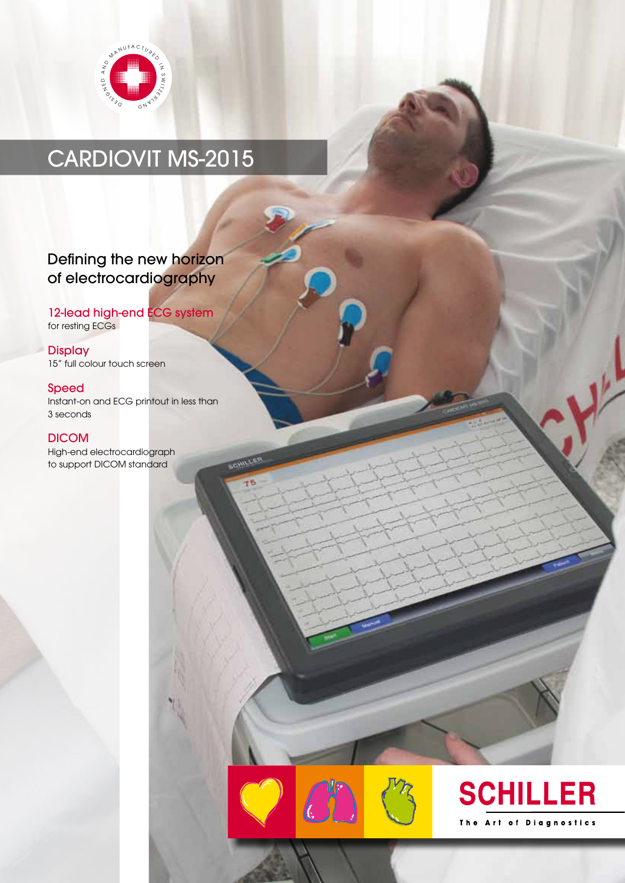

## CARDIOVIT MS-2015

## Defining the new horizon of electrocardiography

## 12-lead high-end **ECG** system for resting ECGs

**Display** 15" full colour touch screen

### Speed

Instant-on and ECG printout in less than 3 seconds

## DICOM

High-end electrocardiograph to support DICOM standard



canter



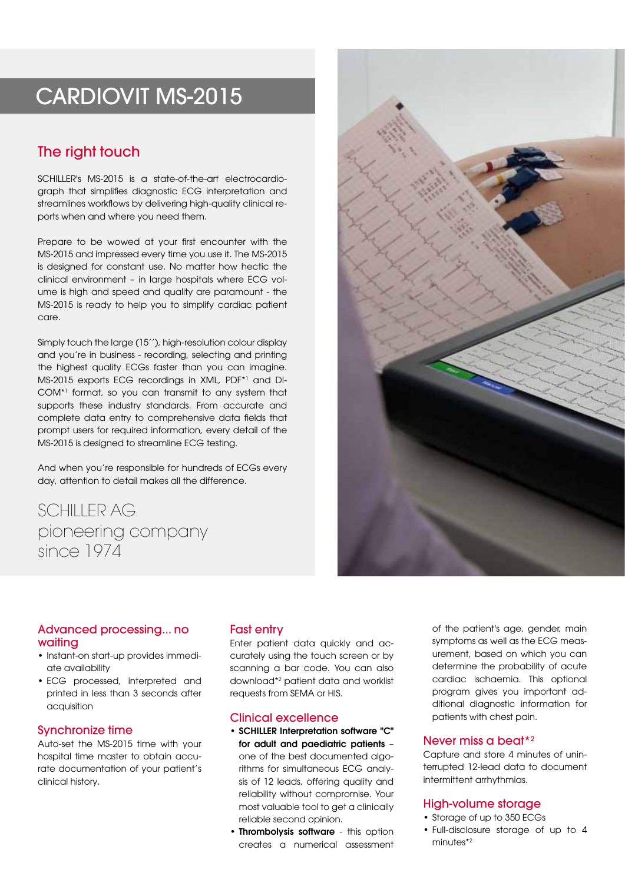## CARDIOVIT MS-2015

## The right touch

SCHILLER's MS-2015 is a state-of-the-art electrocardiograph that simplifies diagnostic ECG interpretation and streamlines workflows by delivering high-quality clinical reports when and where you need them.

Prepare to be wowed at your first encounter with the MS-2015 and impressed every time you use it. The MS-2015 is designed for constant use. No matter how hectic the clinical environment – in large hospitals where ECG volume is high and speed and quality are paramount - the MS-2015 is ready to help you to simplify cardiac patient care.

Simply touch the large (15''), high-resolution colour display and you're in business - recording, selecting and printing the highest quality ECGs faster than you can imagine. MS-2015 exports ECG recordings in XML, PDF\*<sup>1</sup> and DI-COM\*<sup>1</sup> format, so you can transmit to any system that supports these industry standards. From accurate and complete data entry to comprehensive data fields that prompt users for required information, every detail of the MS-2015 is designed to streamline ECG testing.

And when you're responsible for hundreds of ECGs every day, attention to detail makes all the difference.

SCHILLER AG pioneering company since 1974



#### Advanced processing... no waiting

- Instant-on start-up provides immediate availability
- ECG processed, interpreted and printed in less than 3 seconds after acquisition

## Synchronize time

Auto-set the MS-2015 time with your hospital time master to obtain accurate documentation of your patient's clinical history.

## Fast entry

Enter patient data quickly and accurately using the touch screen or by scanning a bar code. You can also download\*<sup>2</sup> patient data and worklist requests from SEMA or HIS.

#### Clinical excellence

• SCHILLER Interpretation software "C" for adult and paediatric patients –

one of the best documented algorithms for simultaneous ECG analysis of 12 leads, offering quality and reliability without compromise. Your most valuable tool to get a clinically reliable second opinion.

• Thrombolysis software - this option creates a numerical assessment

of the patient's age, gender, main symptoms as well as the ECG measurement, based on which you can determine the probability of acute cardiac ischaemia. This optional program gives you important additional diagnostic information for patients with chest pain.

#### Never miss a beat\*2

Capture and store 4 minutes of uninterrupted 12-lead data to document intermittent arrhythmias.

#### High-volume storage

- Storage of up to 350 ECGs
- Full-disclosure storage of up to 4 minutes\*2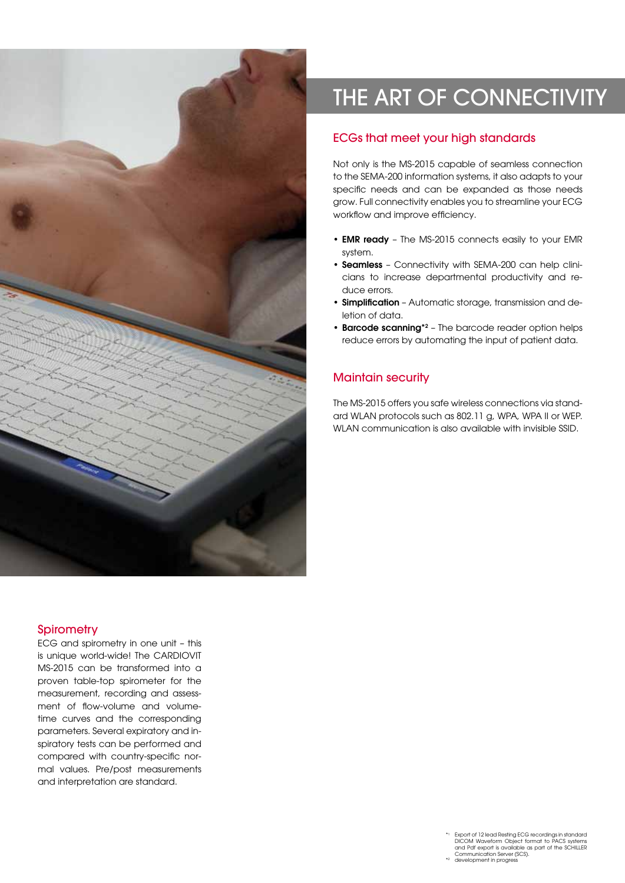

# THE ART OF CONNECTIVITY

## ECGs that meet your high standards

Not only is the MS-2015 capable of seamless connection to the SEMA-200 information systems, it also adapts to your specific needs and can be expanded as those needs grow. Full connectivity enables you to streamline your ECG workflow and improve efficiency.

- EMR ready The MS-2015 connects easily to your EMR system.
- Seamless Connectivity with SEMA-200 can help clinicians to increase departmental productivity and reduce errors.
- Simplification Automatic storage, transmission and deletion of data.
- Barcode scanning<sup>\*2</sup> The barcode reader option helps reduce errors by automating the input of patient data.

## Maintain security

The MS-2015 offers you safe wireless connections via standard WLAN protocols such as 802.11 g, WPA, WPA II or WEP. WLAN communication is also available with invisible SSID.

## **Spirometry**

ECG and spirometry in one unit – this is unique world-wide! The CARDIOVIT MS-2015 can be transformed into a proven table-top spirometer for the measurement, recording and assessment of flow-volume and volumetime curves and the corresponding parameters. Several expiratory and inspiratory tests can be performed and compared with country-specific normal values. Pre/post measurements and interpretation are standard.

> \*<sup>1</sup> Export of 12 lead Resting ECG recordings in standard DICOM Waveform Object format to PACS systems and Pdf export is available as part of the SCHILLER Communication Server (SCS). development in progress